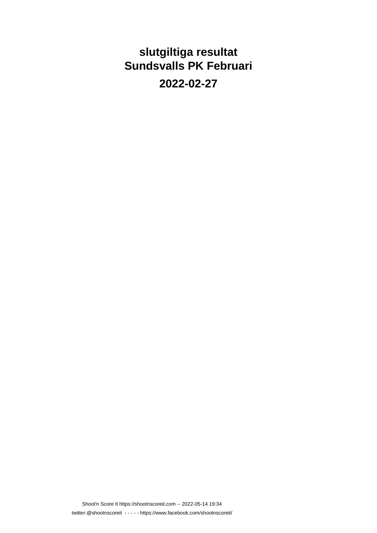**slutgiltiga resultat Sundsvalls PK Februari**

**2022-02-27**

Shoot'n Score It https://shootnscoreit.com -- 2022-05-14 19:34 twitter:@shootnscoreit - - - - - https://www.facebook.com/shootnscoreit/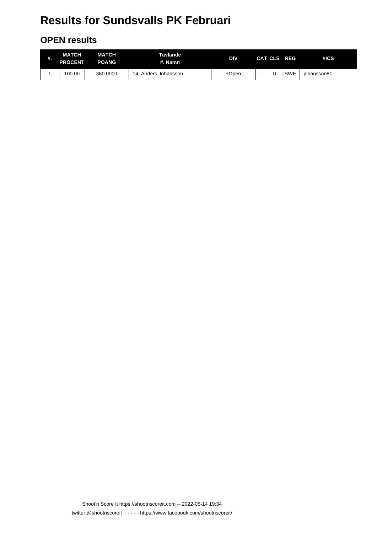#### **OPEN results**

| #. | MATCH<br><b>PROCENT</b> | MATCH<br>POÄNG | Tävlande<br>#. Namn    | DIV   |  | CAT CLS REG | #ICS        |
|----|-------------------------|----------------|------------------------|-------|--|-------------|-------------|
|    | 100.00                  | 360,0000       | Anders Johansson<br>14 | +Open |  | <b>SWE</b>  | iohansson81 |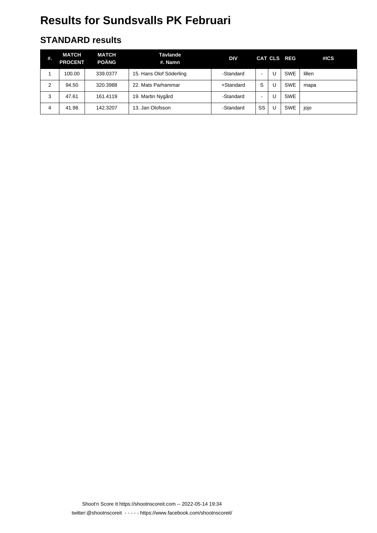#### **STANDARD results**

| #. | <b>MATCH</b><br><b>PROCENT</b> | MATCH<br><b>POÄNG</b> | Tävlande<br>#. Namn     | <b>DIV</b>   |      |   | CAT CLS REG | #ICS   |
|----|--------------------------------|-----------------------|-------------------------|--------------|------|---|-------------|--------|
|    | 100.00                         | 339.0377              | 15. Hans Olof Söderling | -Standard    | $\,$ |   | <b>SWE</b>  | lillen |
| 2  | 94.50                          | 320.3988              | 22. Mats Parhammar      | $+$ Standard | S    |   | <b>SWE</b>  | mapa   |
| 3  | 47.61                          | 161.4119              | 19. Martin Nygård       | -Standard    | $\,$ |   | <b>SWE</b>  |        |
| 4  | 41.98                          | 142.3207              | 13. Jan Olofsson        | -Standard    | SS   | U | <b>SWE</b>  | jojo   |

Shoot'n Score It https://shootnscoreit.com -- 2022-05-14 19:34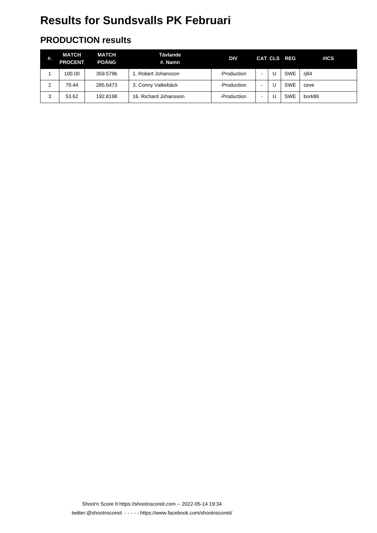#### **PRODUCTION results**

| #. | <b>MATCH</b><br><b>PROCENT</b> | <b>MATCH</b><br><b>POÄNG</b> | Tävlande<br>#. Namn   | DIV         |                | CAT CLS REG | #ICS   |
|----|--------------------------------|------------------------------|-----------------------|-------------|----------------|-------------|--------|
|    | 100.00                         | 359.5796                     | . Robert Johansson    | -Production | $\blacksquare$ | <b>SWE</b>  | rj84   |
| 2  | 79.44                          | 285.6473                     | 3. Conny Valkebäck    | -Production | ۰              | <b>SWE</b>  | ceve   |
| 3  | 53.62                          | 192.8198                     | 16. Richard Johansson | -Production | ۰              | <b>SWE</b>  | bork86 |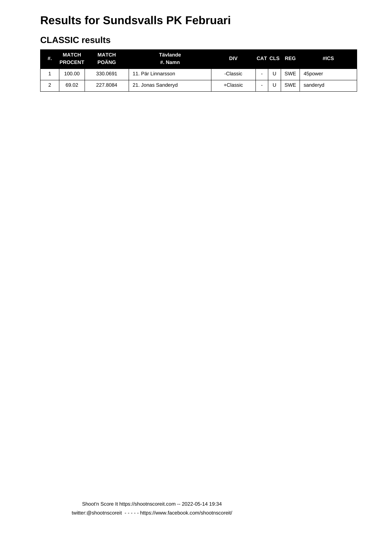#### **CLASSIC results**

| #.     | <b>MATCH</b><br><b>PROCENT</b> | <b>MATCH</b><br><b>POÄNG</b> | Tävlande<br>#. Namn | DIV      |  | CAT CLS REG | #ICS     |
|--------|--------------------------------|------------------------------|---------------------|----------|--|-------------|----------|
|        | 100.00                         | 330.0691                     | 11. Pär Linnarsson  | -Classic |  | <b>SWE</b>  | 45power  |
| ◠<br>∼ | 69.02                          | 227.8084                     | 21. Jonas Sanderyd  | +Classic |  | <b>SWE</b>  | sanderyd |